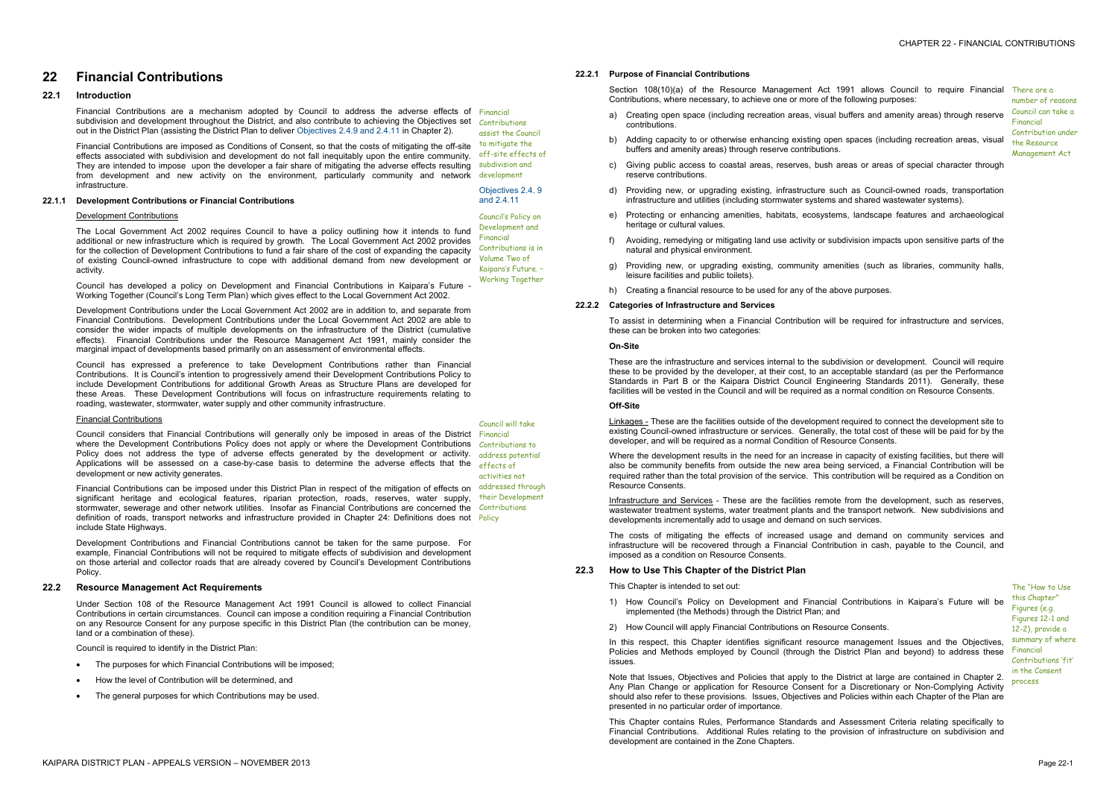## **22 Financial Contributions**

#### **22.1 Introduction**

Financial Contributions are a mechanism adopted by Council to address the adverse effects of Financial subdivision and development throughout the District, and also contribute to achieving the Objectives set Contributions out in the District Plan (assisting the District Plan to deliver Objectives 2.4.9 and 2.4.11 in Chapter 2).

Financial Contributions are imposed as Conditions of Consent, so that the costs of mitigating the off-site effects associated with subdivision and development do not fall inequitably upon the entire community. They are intended to impose upon the developer a fair share of mitigating the adverse effects resulting subdivision and from development and new activity on the environment, particularly community and network development infrastructure.

#### **22.1.1 Development Contributions or Financial Contributions**

# assist the Council to mitigate the off-site effects of

Objectives 2.4. 9<br>and 2.4.11

#### Development Contributions

The Local Government Act 2002 requires Council to have a policy outlining how it intends to fund additional or new infrastructure which is required by growth. The Local Government Act 2002 provides for the collection of Development Contributions to fund a fair share of the cost of expanding the capacity of existing Council-owned infrastructure to cope with additional demand from new development or Volume Two of activity.

Council considers that Financial Contributions will generally only be imposed in areas of the District Financial where the Development Contributions Policy does not apply or where the Development Contributions Contributions to Policy does not address the type of adverse effects generated by the development or activity. address potential Applications will be assessed on a case-by-case basis to determine the adverse effects that the development or new activity generates.

Council has developed a policy on Development and Financial Contributions in Kaipara's Future - Working Together (Council's Long Term Plan) which gives effect to the Local Government Act 2002.

Development Contributions under the Local Government Act 2002 are in addition to, and separate from Financial Contributions. Development Contributions under the Local Government Act 2002 are able to consider the wider impacts of multiple developments on the infrastructure of the District (cumulative effects). Financial Contributions under the Resource Management Act 1991, mainly consider the marginal impact of developments based primarily on an assessment of environmental effects.

- · The purposes for which Financial Contributions will be imposed;
- · How the level of Contribution will be determined, and
- The general purposes for which Contributions may be used.

Council has expressed a preference to take Development Contributions rather than Financial Contributions. It is Council's intention to progressively amend their Development Contributions Policy to include Development Contributions for additional Growth Areas as Structure Plans are developed for these Areas. These Development Contributions will focus on infrastructure requirements relating to roading, wastewater, stormwater, water supply and other community infrastructure.

Section 108(10)(a) of the Resource Management Act 1991 allows Council to require Financial There are a Contributions, where necessary, to achieve one or more of the following purposes:

- 
- 
- 
- 
- 
- 

- 
- 
- 

#### Financial Contributions

Financial Contributions can be imposed under this District Plan in respect of the mitigation of effects on significant heritage and ecological features, riparian protection, roads, reserves, water supply, stormwater, sewerage and other network utilities. Insofar as Financial Contributions are concerned the Contributions definition of roads, transport networks and infrastructure provided in Chapter 24: Definitions does not Policy include State Highways. addressed through their Development

Development Contributions and Financial Contributions cannot be taken for the same purpose. For example, Financial Contributions will not be required to mitigate effects of subdivision and development on those arterial and collector roads that are already covered by Council's Development Contributions Policy.

Where the development results in the need for an increase in capacity of existing facilities, but there will also be community benefits from outside the new area being serviced, a Financial Contribution will be required rather than the total provision of the service. This contribution will be required as a Condition on Resource Consents.

Council's Policy on Development and Financial Contributions is in Kaipara's Future. – Working Together

Council will take

effects of activities not

#### **22.2 Resource Management Act Requirements**

In this respect, this Chapter identifies significant resource management Issues and the Objectives, Policies and Methods employed by Council (through the District Plan and beyond) to address these issues.

Under Section 108 of the Resource Management Act 1991 Council is allowed to collect Financial Contributions in certain circumstances. Council can impose a condition requiring a Financial Contribution on any Resource Consent for any purpose specific in this District Plan (the contribution can be money, land or a combination of these).

> Note that Issues, Objectives and Policies that apply to the District at large are contained in Chapter 2. Any Plan Change or application for Resource Consent for a Discretionary or Non-Complying Activity should also refer to these provisions. Issues, Objectives and Policies within each Chapter of the Plan are presented in no particular order of importance.

Council is required to identify in the District Plan:

**22.2.1 Purpose of Financial Contributions** 

- a) Creating open space (including recreation areas, visual buffers and amenity areas) through reserve contributions.
- b) Adding capacity to or otherwise enhancing existing open spaces (including recreation areas, visual buffers and amenity areas) through reserve contributions.
- c) Giving public access to coastal areas, reserves, bush areas or areas of special character through reserve contributions.
- d) Providing new, or upgrading existing, infrastructure such as Council-owned roads, transportation infrastructure and utilities (including stormwater systems and shared wastewater systems).
- e) Protecting or enhancing amenities, habitats, ecosystems, landscape features and archaeological heritage or cultural values.
- f) Avoiding, remedying or mitigating land use activity or subdivision impacts upon sensitive parts of the natural and physical environment.
- g) Providing new, or upgrading existing, community amenities (such as libraries, community halls, leisure facilities and public toilets).
- h) Creating a financial resource to be used for any of the above purposes.

number of reasons Council can take a Financial Contribution under the Resource Management Act

#### **22.2.2 Categories of Infrastructure and Services**

To assist in determining when a Financial Contribution will be required for infrastructure and services, these can be broken into two categories:

#### **On-Site**

These are the infrastructure and services internal to the subdivision or development. Council will require these to be provided by the developer, at their cost, to an acceptable standard (as per the Performance Standards in Part B or the Kaipara District Council Engineering Standards 2011). Generally, these facilities will be vested in the Council and will be required as a normal condition on Resource Consents.

#### **Off-Site**

Linkages - These are the facilities outside of the development required to connect the development site to existing Council-owned infrastructure or services. Generally, the total cost of these will be paid for by the developer, and will be required as a normal Condition of Resource Consents.

Infrastructure and Services - These are the facilities remote from the development, such as reserves, wastewater treatment systems, water treatment plants and the transport network. New subdivisions and developments incrementally add to usage and demand on such services.

The costs of mitigating the effects of increased usage and demand on community services and infrastructure will be recovered through a Financial Contribution in cash, payable to the Council, and imposed as a condition on Resource Consents.

#### **22.3 How to Use This Chapter of the District Plan**

This Chapter is intended to set out:

- 1) How Council's Policy on Development and Financial Contributions in Kaipara's Future will be implemented (the Methods) through the District Plan; and
- 2) How Council will apply Financial Contributions on Resource Consents.

This Chapter contains Rules, Performance Standards and Assessment Criteria relating specifically to Financial Contributions. Additional Rules relating to the provision of infrastructure on subdivision and development are contained in the Zone Chapters.

The "How to Use this Chapter" Figures (e.g. Figures 12-1 and 12-2), provide a summary of where Financial Contributions 'fit' in the Consent process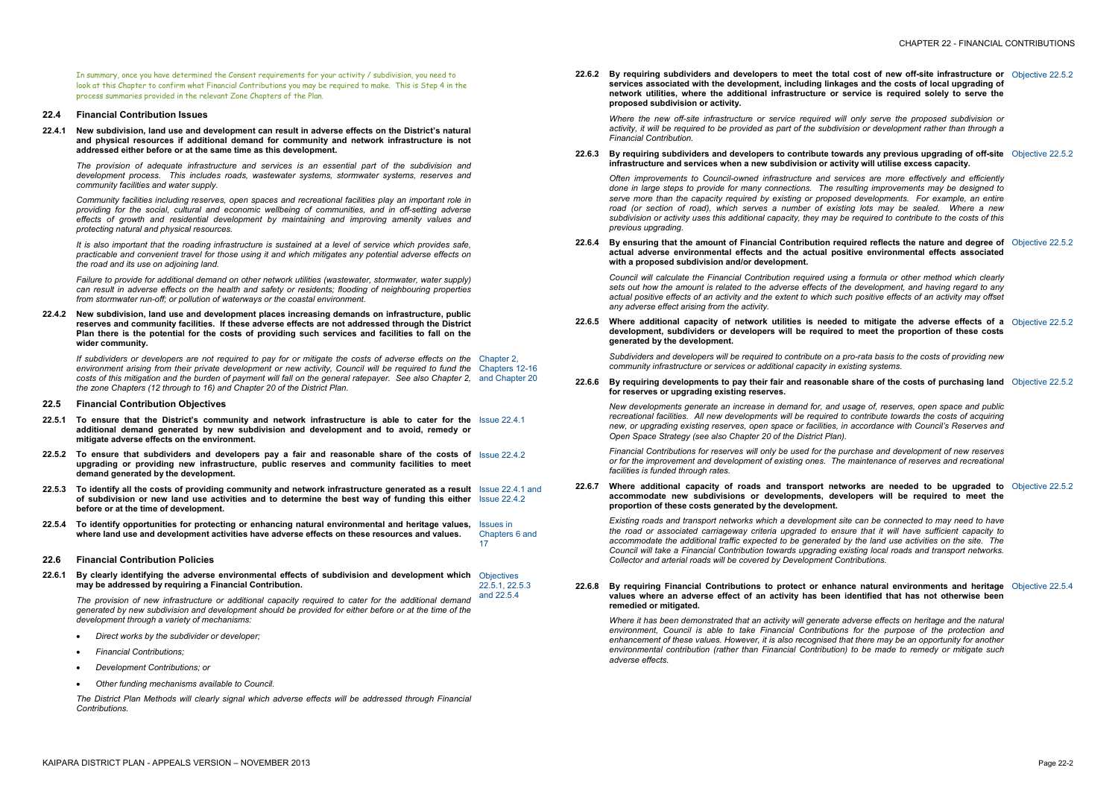In summary, once you have determined the Consent requirements for your activity / subdivision, you need to look at this Chapter to confirm what Financial Contributions you may be required to make. This is Step 4 in the process summaries provided in the relevant Zone Chapters of the Plan.

#### **22.4 Financial Contribution Issues**

**22.4.1 New subdivision, land use and development can result in adverse effects on the District's natural and physical resources if additional demand for community and network infrastructure is not addressed either before or at the same time as this development.** 

It is also important that the roading infrastructure is sustained at a level of service which provides safe. *practicable and convenient travel for those using it and which mitigates any potential adverse effects on the road and its use on adjoining land.* 

*The provision of adequate infrastructure and services is an essential part of the subdivision and development process. This includes roads, wastewater systems, stormwater systems, reserves and community facilities and water supply.* 

*Community facilities including reserves, open spaces and recreational facilities play an important role in providing for the social, cultural and economic wellbeing of communities, and in off-setting adverse effects of growth and residential development by maintaining and improving amenity values and protecting natural and physical resources.* 

If subdividers or developers are not required to pay for or mitigate the costs of adverse effects on the Chapter 2, environment arising from their private development or new activity, Council will be required to fund the Chapters 12-16 costs of this mitigation and the burden of payment will fall on the general ratepayer. See also Chapter 2, and Chapter 20 *the zone Chapters (12 through to 16) and Chapter 20 of the District Plan.* 

*Failure to provide for additional demand on other network utilities (wastewater, stormwater, water supply) can result in adverse effects on the health and safety or residents; flooding of neighbouring properties from stormwater run-off; or pollution of waterways or the coastal environment.* 

**22.4.2 New subdivision, land use and development places increasing demands on infrastructure, public reserves and community facilities. If these adverse effects are not addressed through the District**  Plan there is the potential for the costs of providing such services and facilities to fall on the **wider community.** 

*Where the new off-site infrastructure or service required will* activity, it will be required to be provided as part of the subdiv. *Financial Contribution.* 

#### **22.6.3 By requiring subdividers and developers to contribute towards any previous upgrading of off-site infrastructure and services when a new subdivision or activity.**

#### **22.5 Financial Contribution Objectives**

*Often improvements to Council-owned infrastructure and serally and serally and serally and serally and and serally and*  $\epsilon$ *done in* large steps to provide for many connections. The rest *serve more than the capacity required by existing or proposed developments. For example, an entire road* (or section of road), which serves a number of existing subdivision or activity uses this additional capacity, they may b *previous upgrading.* 

- **22.5.1 To ensure that the District's community and network infrastructure is able to cater for the**  Issue 22.4.1 **additional demand generated by new subdivision and development and to avoid, remedy or mitigate adverse effects on the environment.**
- 22.5.2 To ensure that subdividers and developers pay a fair and reasonable share of the costs of Issue 22.4.2 **upgrading or providing new infrastructure, public reserves and community facilities to meet demand generated by the development.**
- 22.5.3 To identify all the costs of providing community and network infrastructure generated as a result Issue 22.4.1 and of subdivision or new land use activities and to determine the best way of funding this either Issue 22.4.2 **before or at the time of development.**
- **22.5.4 To identify opportunities for protecting or enhancing natural environmental and heritage values,**  Issues in **where land use and development activities have adverse effects on these resources and values.**  Chapters 6 and 17

**22.6.5** Where additional capacity of network utilities is needed **development, subdividers or developers will be required generated by the development.** 

> *Subdividers* and *developers* will be required to contribute on a *community infrastructure or services or additional capacity in e.*

#### **22.6 Financial Contribution Policies**

*New developments generate an increase in demand for, and recreational facilities. All new developments will be required to new, or upgrading existing reserves, open space or facilities, in accordance with Council's Reserves and Open Space Strategy (see also Chapter 20 of the District Plan).* 

**22.6.1 By clearly identifying the adverse environmental effects of subdivision and development which**  Objectives **may be addressed by requiring a Financial Contribution.**  22.5.1, 22.5.3

*Financial Contributions for reserves will only be used for the purchase <i>purpose and new <i>new and n or for the improvement and development of existing ones. The maintenance of reserves and recreational facilities is funded through rates.* 

**22.6.7** Where additional capacity of roads and transport netv **accommodate** new subdivisions or developments, deve **proportion of these costs generated by the development.** 

and 22.5.4 *The provision of new infrastructure or additional capacity required to cater for the additional demand*  generated by new subdivision and development should be provided for either before or at the time of the *development through a variety of mechanisms:* 

- · *Direct works by the subdivider or developer;*
- · *Financial Contributions;*
- · *Development Contributions; or*
- · *Other funding mechanisms available to Council.*

**22.6.8 By requiring Financial Contributions to protect or enhaltional <b>endbance n values where an adverse effect of an activity has been identified that has not otherwise been remedied or mitigated.** 

*The District Plan Methods will clearly signal which adverse effects will be addressed through Financial Contributions.* 

Where it has been demonstrated that an activity will generate *environment, Council is able to take Financial Contributions for the purpose of the protection and enhancement* of these values. However, it is also recognised the *environmental contribution (rather than Financial Contribution) to be made to remedy or mitigate such adverse effects.* 

**22.6.2 By requiring subdividers and developers to meet the total cost of new off-site infrastructure or services** associated with the development, including linka **network utilities, where the additional infrastructure or service is required solely to serve the proposed subdivision or activity.** 

#### **22.6.4 By ensuring that the amount of Financial Contribution required reflects the nature and degree of actual adverse environmental effects and the actual positive environmental effects associated with a proposed subdivision and/or development.**

*Council will calculate the Financial Contribution required using a formula or other method which clearly*  sets out how the amount is related to the adverse effects of the actual positive effects of an activity and the extent to which su *any adverse effect arising from the activity.* 

| al cost of new off-site infrastructure or Objective 22.5.2<br>ges and the costs of local upgrading of<br>service is required solely to serve the                                                                            |                  |
|-----------------------------------------------------------------------------------------------------------------------------------------------------------------------------------------------------------------------------|------------------|
| Il only serve the proposed subdivision or<br>ision or development rather than through a                                                                                                                                     |                  |
| vards any previous upgrading of off-site Objective 22.5.2<br>ivity will utilise excess capacity.                                                                                                                            |                  |
| rvices are more effectively and efficiently<br>sulting improvements may be designed to<br>ed developments. For example, an entire<br>ting lots may be sealed. Where a new<br>be required to contribute to the costs of this |                  |
| quired reflects the nature and degree of<br>sitive environmental effects associated                                                                                                                                         | Objective 22.5.2 |
| g a formula or other method which clearly<br>he development, and having regard to any<br>ch positive effects of an activity may offset                                                                                      |                  |
| d to mitigate the adverse effects of a<br>to meet the proportion of these costs                                                                                                                                             | Objective 22.5.2 |
| pro-rata basis to the costs of providing new<br>xisting systems.                                                                                                                                                            |                  |
| le share of the costs of purchasing land Objective 22.5.2                                                                                                                                                                   |                  |
| usage of, reserves, open space and public<br>o contribute towards the costs of acquiring<br>in accordance with Council's Reserves and<br>).                                                                                 |                  |
| urchase and development of new reserves<br>e maintenance of reserves and recreational                                                                                                                                       |                  |
| works are needed to be upgraded to Objective 22.5.2<br>elopers will be required to meet the                                                                                                                                 |                  |
| ite can be connected to may need to have<br>sure that it will have sufficient capacity to<br>by the land use activities on the site. The<br>xisting local roads and transport networks.<br>ontributions.                    |                  |
| nce natural environments and heritage<br>identified that has not otherwise been                                                                                                                                             | Objective 22.5.4 |
| adverse effects on heritage and the natural<br>is for the purpose of the protection and<br>hat there may be an opportunity for another                                                                                      |                  |

#### **22.6.6 By requiring developments to pay their fair and reasonable share of the costs of purchasing land for reserves or upgrading existing reserves.**

*Existing roads and transport networks which a development site can be connected to may need to have the road or associated carriageway criteria upgraded to ensure <i>the road or associated carriageway criteria upgraded accommodate the additional traffic expected to be generated by the land use activities on the site. The Council will take a Financial Contribution towards upgrading existing Collector and arterial roads will be covered by Development Contributions.*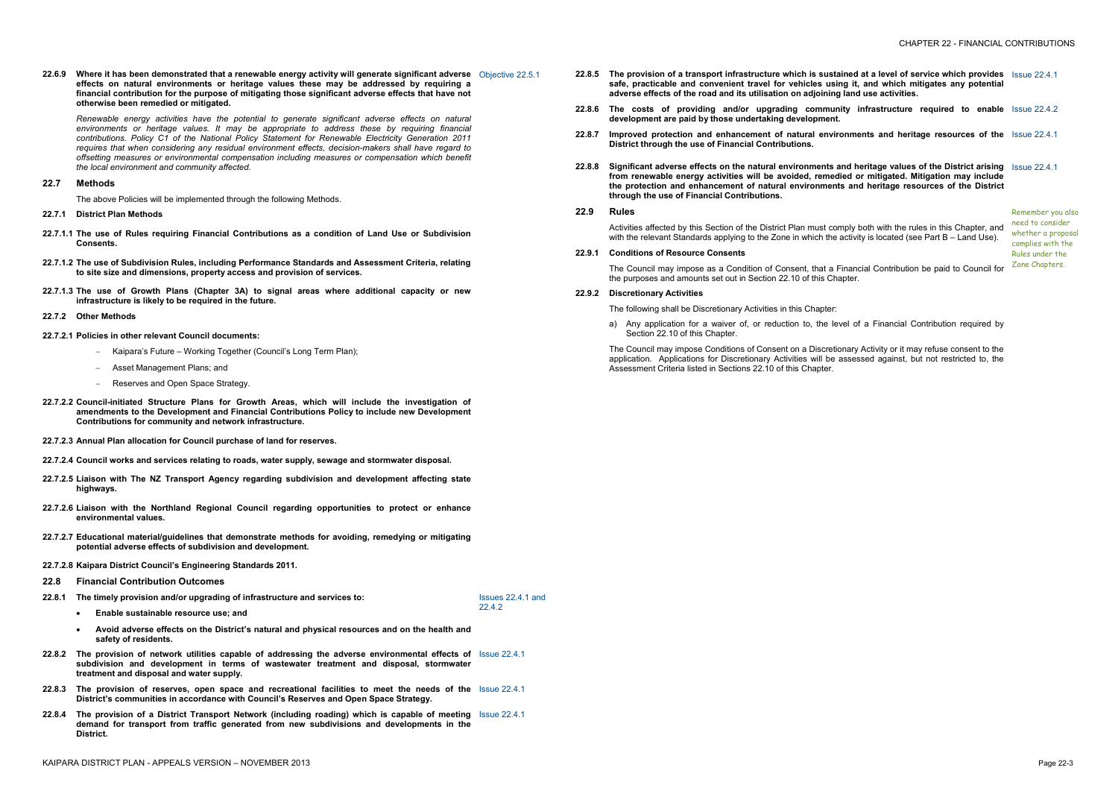**22.6.9 Where it has been demonstrated that a renewable energy activity will generate significant adverse**  Objective 22.5.1 **effects on natural environments or heritage values these may be addressed by requiring a financial contribution for the purpose of mitigating those significant adverse effects that have not otherwise been remedied or mitigated.** 

*Renewable energy activities have the potential to generate significant adverse effects on natural environments or heritage values. It may be appropriate to address these by requiring financial contributions. Policy C1 of the National Policy Statement for Renewable Electricity Generation 2011 requires that when considering any residual environment effects, decision-makers shall have regard to offsetting measures or environmental compensation including measures or compensation which benefit the local environment and community affected.* 

#### **22.7 Methods**

The above Policies will be implemented through the following Methods.

- 22.8.5 The provision of a transport infrastructure which is sustain **safe, practicable and convenient travel for vehicles using it, and which mitigates any potential adverse effects of the road and its utilisation on adjoining land use activities.**
- **22.8.6 The costs of providing and/or upgrading community infrastructure required to enable development are paid by those undertaking development.**
- **22.8.7 Improved protection and enhancement of natural environments and heritage resources of the District through the use of Financial Contributions.**
- **22.8.8 Significant adverse effects on the natural environments and heritage values of the District arising from** renewable energy activities will be avoided, remedie **the protection and enhancement of natural environments and heritage resources of the District through the use of Financial Contributions.**

- **22.7.1 District Plan Methods**
- **22.7.1.1 The use of Rules requiring Financial Contributions as a condition of Land Use or Subdivision Consents.**
- **22.7.1.2 The use of Subdivision Rules, including Performance Standards and Assessment Criteria, relating to site size and dimensions, property access and provision of services.**
- **22.7.1.3 The use of Growth Plans (Chapter 3A) to signal areas where additional capacity or new infrastructure is likely to be required in the future.**
- **22.7.2 Other Methods**
- **22.7.2.1 Policies in other relevant Council documents:** 
	- Kaipara's Future Working Together (Council's Long Term Plan);
	- Asset Management Plans; and
	- Reserves and Open Space Strategy.
- **22.7.2.2 Council-initiated Structure Plans for Growth Areas, which will include the investigation of amendments to the Development and Financial Contributions Policy to include new Development Contributions for community and network infrastructure.**
- **22.7.2.3 Annual Plan allocation for Council purchase of land for reserves.**
- **22.7.2.4 Council works and services relating to roads, water supply, sewage and stormwater disposal.**
- **22.7.2.5 Liaison with The NZ Transport Agency regarding subdivision and development affecting state highways.**
- **22.7.2.6 Liaison with the Northland Regional Council regarding opportunities to protect or enhance environmental values.**
- **22.7.2.7 Educational material/guidelines that demonstrate methods for avoiding, remedying or mitigating potential adverse effects of subdivision and development.**
- **22.7.2.8 Kaipara District Council's Engineering Standards 2011.**
- **22.8 Financial Contribution Outcomes**
- **22.8.1 The timely provision and/or upgrading of infrastructure and services to:** 
	- · **Enable sustainable resource use; and**
	- · **Avoid adverse effects on the District's natural and physical resources and on the health and safety of residents.**
- **22.8.2 The provision of network utilities capable of addressing the adverse environmental effects of**  Issue 22.4.1 **subdivision and development in terms of wastewater treatment and disposal, stormwater treatment and disposal and water supply.**
- **22.8.3 The provision of reserves, open space and recreational facilities to meet the needs of the**  Issue 22.4.1 **District's communities in accordance with Council's Reserves and Open Space Strategy.**
- **22.8.4 The provision of a District Transport Network (including roading) which is capable of meeting**  Issue 22.4.1 **demand for transport from traffic generated from new subdivisions and developments in the District.**

Issues 22.4.1 and

22.4.2

Activities affected by this Section of the District Plan must comp with the relevant Standards applying to the Zone in which the a

| ned at a level of service which provides Issue 22.4.1                                                                 |  |
|-----------------------------------------------------------------------------------------------------------------------|--|
| ty infrastructure required to enable Issue 22.4.2                                                                     |  |
| <b>nments and heritage resources of the Issue 22.4.1</b>                                                              |  |
| <b>nd heritage values of the District arising</b> Issue 22.4.1                                                        |  |
| Remember you also<br>need to consider<br>whether a proposal<br>complies with the<br>Rules under the<br>Zone Chapters. |  |
|                                                                                                                       |  |

#### **22.9 Rules**

#### **22.9.1 Conditions of Resource Consents**

The Council may impose as a Condition of Consent, that a Financial Contribution be paid to Council for the purposes and amounts set out in Section 22.10 of this Chapter.

#### **22.9.2 Discretionary Activities**

The following shall be Discretionary Activities in this Chapter:

a) Any application for a waiver of, or reduction to, the level of a Financial Contribution required by Section 22.10 of this Chapter.

The Council may impose Conditions of Consent on a Discretionary Activity or it may refuse consent to the application. Applications for Discretionary Activities will be assessed against, but not restricted to, the Assessment Criteria listed in Sections 22.10 of this Chapter.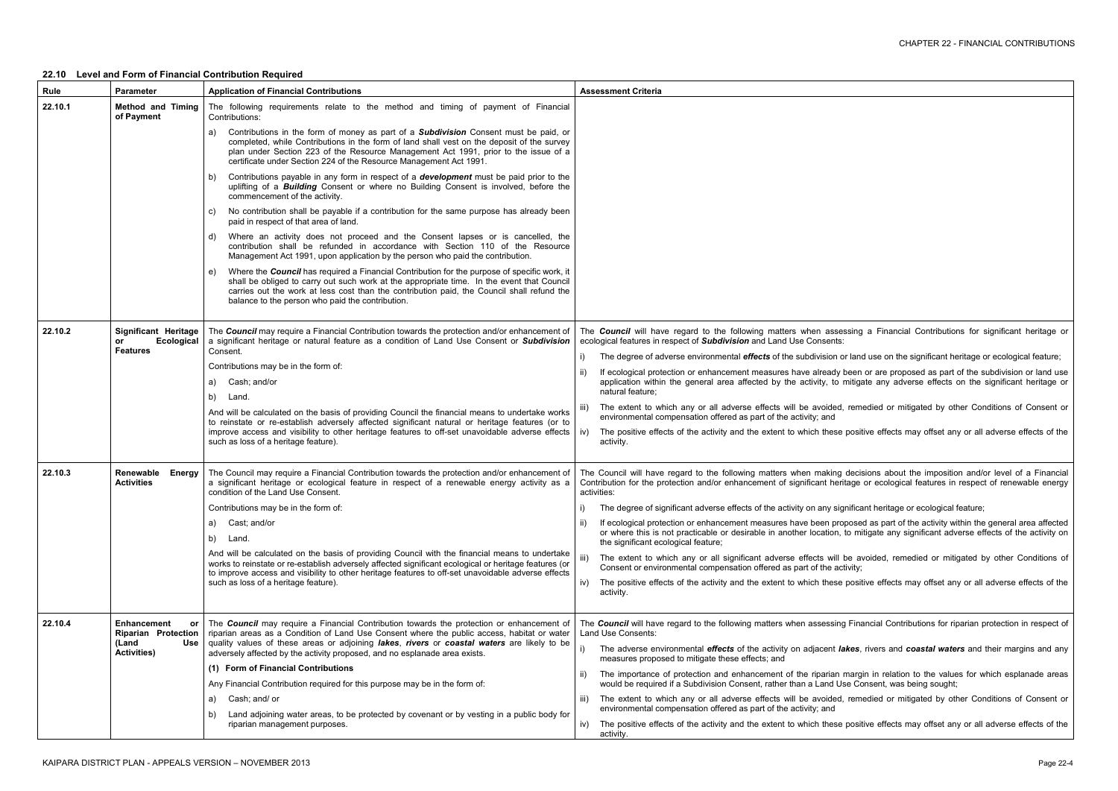essing a Financial Contributions for significant heritage or

or land use on the significant heritage or ecological feature;

been or are proposed as part of the subdivision or land use mitigate any adverse effects on the significant heritage or

I, remedied or mitigated by other Conditions of Consent or

positive effects may offset any or all adverse effects of the

decisions about the imposition and/or level of a Financial ritage or ecological features in respect of renewable energy

gnificant heritage or ecological feature;

oposed as part of the activity within the general area affected , to mitigate any significant adverse effects of the activity on

be avoided, remedied or mitigated by other Conditions of

e positive effects may offset any or all adverse effects of the

ng Financial Contributions for riparian protection in respect of

lakes, rivers and *coastal waters* and their margins and any

margin in relation to the values for which esplanade areas Jse Consent, was being sought;

I, remedied or mitigated by other Conditions of Consent or

positive effects may offset any or all adverse effects of the

### **22.10 Level and Form of Financial Contribution Required**

| Rule    | <b>Parameter</b>                                                                              | <b>Application of Financial Contributions</b>                                                                                                                                                                                                                                                                                                                | <b>Assessment Criteria</b>                                                                                                                                           |
|---------|-----------------------------------------------------------------------------------------------|--------------------------------------------------------------------------------------------------------------------------------------------------------------------------------------------------------------------------------------------------------------------------------------------------------------------------------------------------------------|----------------------------------------------------------------------------------------------------------------------------------------------------------------------|
| 22.10.1 | <b>Method and Timing</b><br>of Payment                                                        | The following requirements relate to the method and timing of payment of Financial<br>Contributions:                                                                                                                                                                                                                                                         |                                                                                                                                                                      |
|         |                                                                                               | Contributions in the form of money as part of a <b>Subdivision</b> Consent must be paid, or<br>a)<br>completed, while Contributions in the form of land shall vest on the deposit of the survey<br>plan under Section 223 of the Resource Management Act 1991, prior to the issue of a<br>certificate under Section 224 of the Resource Management Act 1991. |                                                                                                                                                                      |
|         |                                                                                               | Contributions payable in any form in respect of a <b>development</b> must be paid prior to the<br>b)<br>uplifting of a <b>Building</b> Consent or where no Building Consent is involved, before the<br>commencement of the activity.                                                                                                                         |                                                                                                                                                                      |
|         |                                                                                               | No contribution shall be payable if a contribution for the same purpose has already been<br>C)<br>paid in respect of that area of land.                                                                                                                                                                                                                      |                                                                                                                                                                      |
|         |                                                                                               | Where an activity does not proceed and the Consent lapses or is cancelled, the<br>d)<br>contribution shall be refunded in accordance with Section 110 of the Resource<br>Management Act 1991, upon application by the person who paid the contribution.                                                                                                      |                                                                                                                                                                      |
|         |                                                                                               | Where the <b>Council</b> has required a Financial Contribution for the purpose of specific work, it<br>e)<br>shall be obliged to carry out such work at the appropriate time. In the event that Council<br>carries out the work at less cost than the contribution paid, the Council shall refund the<br>balance to the person who paid the contribution.    |                                                                                                                                                                      |
| 22.10.2 | <b>Significant Heritage</b><br>Ecological<br>or                                               | The Council may require a Financial Contribution towards the protection and/or enhancement of<br>a significant heritage or natural feature as a condition of Land Use Consent or Subdivision                                                                                                                                                                 | The <b>Council</b> will have regard to the following matters when assessing<br>ecological features in respect of Subdivision and Land Use Consents:                  |
|         | <b>Features</b>                                                                               | Consent.                                                                                                                                                                                                                                                                                                                                                     | The degree of adverse environmental effects of the subdivision or land                                                                                               |
|         |                                                                                               | Contributions may be in the form of:                                                                                                                                                                                                                                                                                                                         | If ecological protection or enhancement measures have already been<br>application within the general area affected by the activity, to mitiga                        |
|         |                                                                                               | Cash; and/or<br>a)<br>b)<br>Land.                                                                                                                                                                                                                                                                                                                            | natural feature;                                                                                                                                                     |
|         |                                                                                               | And will be calculated on the basis of providing Council the financial means to undertake works                                                                                                                                                                                                                                                              | The extent to which any or all adverse effects will be avoided, reme                                                                                                 |
|         |                                                                                               | to reinstate or re-establish adversely affected significant natural or heritage features (or to<br>improve access and visibility to other heritage features to off-set unavoidable adverse effects<br>such as loss of a heritage feature).                                                                                                                   | environmental compensation offered as part of the activity; and<br>The positive effects of the activity and the extent to which these positi<br>iv)<br>activity.     |
|         |                                                                                               |                                                                                                                                                                                                                                                                                                                                                              |                                                                                                                                                                      |
| 22.10.3 | Renewable<br>Energy<br><b>Activities</b>                                                      | The Council may require a Financial Contribution towards the protection and/or enhancement of<br>a significant heritage or ecological feature in respect of a renewable energy activity as a<br>condition of the Land Use Consent.                                                                                                                           | The Council will have regard to the following matters when making decis<br>Contribution for the protection and/or enhancement of significant heritage<br>activities: |
|         |                                                                                               | Contributions may be in the form of:                                                                                                                                                                                                                                                                                                                         | The degree of significant adverse effects of the activity on any significa                                                                                           |
|         |                                                                                               | Cast; and/or<br>a)                                                                                                                                                                                                                                                                                                                                           | If ecological protection or enhancement measures have been proposed                                                                                                  |
|         |                                                                                               | b)<br>Land.                                                                                                                                                                                                                                                                                                                                                  | or where this is not practicable or desirable in another location, to mit<br>the significant ecological feature;                                                     |
|         |                                                                                               | And will be calculated on the basis of providing Council with the financial means to undertake<br>works to reinstate or re-establish adversely affected significant ecological or heritage features (or<br>to improve access and visibility to other heritage features to off-set unavoidable adverse effects                                                | The extent to which any or all significant adverse effects will be av<br>Consent or environmental compensation offered as part of the activity;                      |
|         |                                                                                               | such as loss of a heritage feature).                                                                                                                                                                                                                                                                                                                         | The positive effects of the activity and the extent to which these position<br>iv)<br>activity.                                                                      |
| 22.10.4 | <b>Enhancement</b><br>or<br><b>Riparian Protection</b><br>Use<br>(Land<br><b>Activities</b> ) | The Council may require a Financial Contribution towards the protection or enhancement of<br>riparian areas as a Condition of Land Use Consent where the public access, habitat or water                                                                                                                                                                     | The Council will have regard to the following matters when assessing Fina<br>Land Use Consents:                                                                      |
|         |                                                                                               | quality values of these areas or adjoining lakes, rivers or coastal waters are likely to be<br>adversely affected by the activity proposed, and no esplanade area exists.                                                                                                                                                                                    | The adverse environmental effects of the activity on adjacent lakes,<br>measures proposed to mitigate these effects; and                                             |
|         |                                                                                               | (1) Form of Financial Contributions                                                                                                                                                                                                                                                                                                                          | The importance of protection and enhancement of the riparian margi                                                                                                   |
|         |                                                                                               | Any Financial Contribution required for this purpose may be in the form of:                                                                                                                                                                                                                                                                                  | would be required if a Subdivision Consent, rather than a Land Use Co                                                                                                |
|         |                                                                                               | Cash; and/ or<br>a)<br>Land adjoining water areas, to be protected by covenant or by vesting in a public body for<br>b)                                                                                                                                                                                                                                      | The extent to which any or all adverse effects will be avoided, reme<br>environmental compensation offered as part of the activity; and                              |
|         |                                                                                               | riparian management purposes.                                                                                                                                                                                                                                                                                                                                | The positive effects of the activity and the extent to which these positi<br>iv)<br>activity.                                                                        |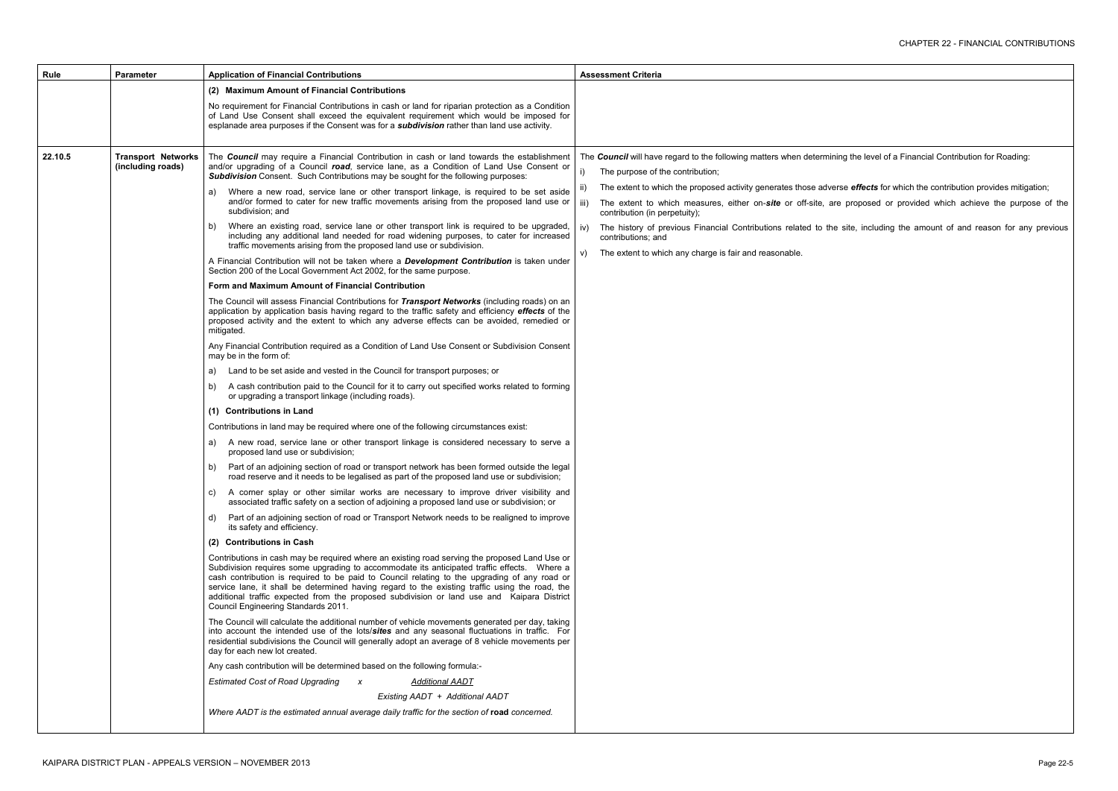**ng the level of a Financial Contribution for Roading:** 

se *effects* for which the contribution provides mitigation; proposed or provided which achieve the purpose of the site, including the amount of and reason for any previous

| Rule    | <b>Parameter</b>                               | <b>Application of Financial Contributions</b>                                                                                                                                                                                                                                                                                                                                                                                                                                                                                                                                                                                                                                                                                                                                                                                                                                                                                                                                                                                                                                                                                                                                                                                                                                                                                                                                                                                                                                                                                                                                                                                                                                                                                                                                                                                                                                                                                                                                                                                                                                                                                                                                                                                                                                                                                                                                                                                                                                                                                                                                                                                                                                                                                                                                                                                                                                                                                                                                                                                                                                                                                                                                                                                                                                                                                                                                                                                                                                                                                                                                                                                                                                                               | <b>Assessment Criteria</b>                                                                                                                                                                                                                                                                                                                                                                                                                                           |
|---------|------------------------------------------------|-------------------------------------------------------------------------------------------------------------------------------------------------------------------------------------------------------------------------------------------------------------------------------------------------------------------------------------------------------------------------------------------------------------------------------------------------------------------------------------------------------------------------------------------------------------------------------------------------------------------------------------------------------------------------------------------------------------------------------------------------------------------------------------------------------------------------------------------------------------------------------------------------------------------------------------------------------------------------------------------------------------------------------------------------------------------------------------------------------------------------------------------------------------------------------------------------------------------------------------------------------------------------------------------------------------------------------------------------------------------------------------------------------------------------------------------------------------------------------------------------------------------------------------------------------------------------------------------------------------------------------------------------------------------------------------------------------------------------------------------------------------------------------------------------------------------------------------------------------------------------------------------------------------------------------------------------------------------------------------------------------------------------------------------------------------------------------------------------------------------------------------------------------------------------------------------------------------------------------------------------------------------------------------------------------------------------------------------------------------------------------------------------------------------------------------------------------------------------------------------------------------------------------------------------------------------------------------------------------------------------------------------------------------------------------------------------------------------------------------------------------------------------------------------------------------------------------------------------------------------------------------------------------------------------------------------------------------------------------------------------------------------------------------------------------------------------------------------------------------------------------------------------------------------------------------------------------------------------------------------------------------------------------------------------------------------------------------------------------------------------------------------------------------------------------------------------------------------------------------------------------------------------------------------------------------------------------------------------------------------------------------------------------------------------------------------------------------|----------------------------------------------------------------------------------------------------------------------------------------------------------------------------------------------------------------------------------------------------------------------------------------------------------------------------------------------------------------------------------------------------------------------------------------------------------------------|
|         |                                                | (2) Maximum Amount of Financial Contributions                                                                                                                                                                                                                                                                                                                                                                                                                                                                                                                                                                                                                                                                                                                                                                                                                                                                                                                                                                                                                                                                                                                                                                                                                                                                                                                                                                                                                                                                                                                                                                                                                                                                                                                                                                                                                                                                                                                                                                                                                                                                                                                                                                                                                                                                                                                                                                                                                                                                                                                                                                                                                                                                                                                                                                                                                                                                                                                                                                                                                                                                                                                                                                                                                                                                                                                                                                                                                                                                                                                                                                                                                                                               |                                                                                                                                                                                                                                                                                                                                                                                                                                                                      |
|         |                                                | No requirement for Financial Contributions in cash or land for riparian protection as a Condition<br>of Land Use Consent shall exceed the equivalent requirement which would be imposed for<br>esplanade area purposes if the Consent was for a <i>subdivision</i> rather than land use activity.                                                                                                                                                                                                                                                                                                                                                                                                                                                                                                                                                                                                                                                                                                                                                                                                                                                                                                                                                                                                                                                                                                                                                                                                                                                                                                                                                                                                                                                                                                                                                                                                                                                                                                                                                                                                                                                                                                                                                                                                                                                                                                                                                                                                                                                                                                                                                                                                                                                                                                                                                                                                                                                                                                                                                                                                                                                                                                                                                                                                                                                                                                                                                                                                                                                                                                                                                                                                           |                                                                                                                                                                                                                                                                                                                                                                                                                                                                      |
| 22.10.5 | <b>Transport Networks</b><br>(including roads) | The Council may require a Financial Contribution in cash or land towards the establishment<br>and/or upgrading of a Council road, service lane, as a Condition of Land Use Consent or<br>Subdivision Consent. Such Contributions may be sought for the following purposes:<br>Where a new road, service lane or other transport linkage, is required to be set aside<br>a)<br>and/or formed to cater for new traffic movements arising from the proposed land use or<br>subdivision; and<br>Where an existing road, service lane or other transport link is required to be upgraded,<br>b)<br>including any additional land needed for road widening purposes, to cater for increased<br>traffic movements arising from the proposed land use or subdivision.<br>A Financial Contribution will not be taken where a <b>Development Contribution</b> is taken under<br>Section 200 of the Local Government Act 2002, for the same purpose.<br>Form and Maximum Amount of Financial Contribution<br>The Council will assess Financial Contributions for Transport Networks (including roads) on an<br>application by application basis having regard to the traffic safety and efficiency effects of the<br>proposed activity and the extent to which any adverse effects can be avoided, remedied or<br>mitigated.<br>Any Financial Contribution required as a Condition of Land Use Consent or Subdivision Consent<br>may be in the form of:<br>Land to be set aside and vested in the Council for transport purposes; or<br>a)<br>A cash contribution paid to the Council for it to carry out specified works related to forming<br>b)<br>or upgrading a transport linkage (including roads).<br>(1) Contributions in Land<br>Contributions in land may be required where one of the following circumstances exist:<br>A new road, service lane or other transport linkage is considered necessary to serve a<br>a)<br>proposed land use or subdivision;<br>Part of an adjoining section of road or transport network has been formed outside the legal<br>b)<br>road reserve and it needs to be legalised as part of the proposed land use or subdivision;<br>c) A corner splay or other similar works are necessary to improve driver visibility and<br>associated traffic safety on a section of adjoining a proposed land use or subdivision; or<br>Part of an adjoining section of road or Transport Network needs to be realigned to improve<br>d)<br>its safety and efficiency.<br>(2) Contributions in Cash<br>Contributions in cash may be required where an existing road serving the proposed Land Use or<br>Subdivision requires some upgrading to accommodate its anticipated traffic effects. Where a<br>cash contribution is required to be paid to Council relating to the upgrading of any road or<br>service lane, it shall be determined having regard to the existing traffic using the road, the<br>additional traffic expected from the proposed subdivision or land use and Kaipara District<br>Council Engineering Standards 2011.<br>The Council will calculate the additional number of vehicle movements generated per day, taking<br>into account the intended use of the lots/sites and any seasonal fluctuations in traffic. For<br>residential subdivisions the Council will generally adopt an average of 8 vehicle movements per<br>day for each new lot created.<br>Any cash contribution will be determined based on the following formula:-<br><b>Estimated Cost of Road Upgrading</b><br><b>Additional AADT</b><br>$\boldsymbol{X}$<br>Existing AADT + Additional AADT<br>Where AADT is the estimated annual average daily traffic for the section of road concerned. | The Council will have regard to the following matters when determinin<br>The purpose of the contribution;<br>i)<br>The extent to which the proposed activity generates those advers<br>-II)<br>iii)<br>The extent to which measures, either on-site or off-site, are<br>contribution (in perpetuity);<br>The history of previous Financial Contributions related to the<br>iv)<br>contributions; and<br>The extent to which any charge is fair and reasonable.<br>V) |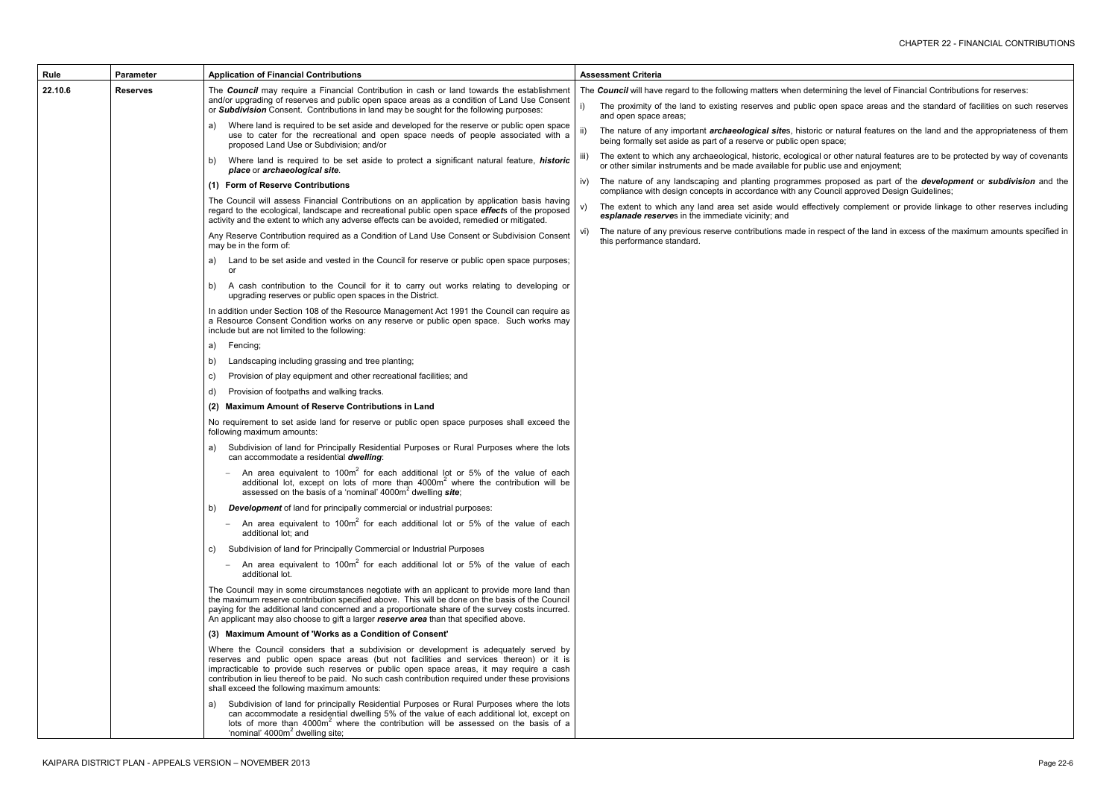the level of Financial Contributions for reserves:

pace areas and the standard of facilities on such reserves

tural features on the land and the appropriateness of them

ier natural features are to be protected by way of covenants and enjoyment;

ived as part of the *development* or *subdivision* and the approved Design Guidelines;

complement or provide linkage to other reserves including

t of the land in excess of the maximum amounts specified in

| Rule                       | <b>Parameter</b>                                                                                                                                                                                                                  | <b>Application of Financial Contributions</b>                                                                                                                                                                                                                                                                                                                                                                                     |                                                                                                                                                   | <b>Assessment Criteria</b>                                                                                                                   |  |  |
|----------------------------|-----------------------------------------------------------------------------------------------------------------------------------------------------------------------------------------------------------------------------------|-----------------------------------------------------------------------------------------------------------------------------------------------------------------------------------------------------------------------------------------------------------------------------------------------------------------------------------------------------------------------------------------------------------------------------------|---------------------------------------------------------------------------------------------------------------------------------------------------|----------------------------------------------------------------------------------------------------------------------------------------------|--|--|
| 22.10.6<br><b>Reserves</b> |                                                                                                                                                                                                                                   | The Council may require a Financial Contribution in cash or land towards the establishment<br>and/or upgrading of reserves and public open space areas as a condition of Land Use Consent<br>or Subdivision Consent. Contributions in land may be sought for the following purposes:                                                                                                                                              |                                                                                                                                                   | The Council will have regard to the following matters when determining                                                                       |  |  |
|                            |                                                                                                                                                                                                                                   |                                                                                                                                                                                                                                                                                                                                                                                                                                   | i)                                                                                                                                                | The proximity of the land to existing reserves and public open sp<br>and open space areas;                                                   |  |  |
|                            | Where land is required to be set aside and developed for the reserve or public open space<br>a)<br>use to cater for the recreational and open space needs of people associated with a<br>proposed Land Use or Subdivision; and/or | ii)                                                                                                                                                                                                                                                                                                                                                                                                                               | The nature of any important <b>archaeological sites</b> , historic or nate<br>being formally set aside as part of a reserve or public open space; |                                                                                                                                              |  |  |
|                            |                                                                                                                                                                                                                                   | Where land is required to be set aside to protect a significant natural feature, <i>historic</i><br>b)<br>place or archaeological site.                                                                                                                                                                                                                                                                                           | iii)                                                                                                                                              | The extent to which any archaeological, historic, ecological or other<br>or other similar instruments and be made available for public use a |  |  |
|                            |                                                                                                                                                                                                                                   | (1) Form of Reserve Contributions                                                                                                                                                                                                                                                                                                                                                                                                 | IV)                                                                                                                                               | The nature of any landscaping and planting programmes propos<br>compliance with design concepts in accordance with any Council a             |  |  |
|                            |                                                                                                                                                                                                                                   | The Council will assess Financial Contributions on an application by application basis having<br>regard to the ecological, landscape and recreational public open space effects of the proposed<br>activity and the extent to which any adverse effects can be avoided, remedied or mitigated.                                                                                                                                    | V)                                                                                                                                                | The extent to which any land area set aside would effectively co<br>esplanade reserves in the immediate vicinity; and                        |  |  |
|                            |                                                                                                                                                                                                                                   | Any Reserve Contribution required as a Condition of Land Use Consent or Subdivision Consent<br>may be in the form of:                                                                                                                                                                                                                                                                                                             | VI)                                                                                                                                               | The nature of any previous reserve contributions made in respect<br>this performance standard.                                               |  |  |
|                            |                                                                                                                                                                                                                                   | Land to be set aside and vested in the Council for reserve or public open space purposes;<br>a)<br>or                                                                                                                                                                                                                                                                                                                             |                                                                                                                                                   |                                                                                                                                              |  |  |
|                            |                                                                                                                                                                                                                                   | A cash contribution to the Council for it to carry out works relating to developing or<br>b)<br>upgrading reserves or public open spaces in the District.                                                                                                                                                                                                                                                                         |                                                                                                                                                   |                                                                                                                                              |  |  |
|                            |                                                                                                                                                                                                                                   | In addition under Section 108 of the Resource Management Act 1991 the Council can require as<br>a Resource Consent Condition works on any reserve or public open space. Such works may<br>include but are not limited to the following:                                                                                                                                                                                           |                                                                                                                                                   |                                                                                                                                              |  |  |
|                            |                                                                                                                                                                                                                                   | Fencing;<br>a)                                                                                                                                                                                                                                                                                                                                                                                                                    |                                                                                                                                                   |                                                                                                                                              |  |  |
|                            |                                                                                                                                                                                                                                   | Landscaping including grassing and tree planting;<br>b)                                                                                                                                                                                                                                                                                                                                                                           |                                                                                                                                                   |                                                                                                                                              |  |  |
|                            |                                                                                                                                                                                                                                   | Provision of play equipment and other recreational facilities; and<br>C)                                                                                                                                                                                                                                                                                                                                                          |                                                                                                                                                   |                                                                                                                                              |  |  |
|                            |                                                                                                                                                                                                                                   | Provision of footpaths and walking tracks.<br>d)                                                                                                                                                                                                                                                                                                                                                                                  |                                                                                                                                                   |                                                                                                                                              |  |  |
|                            |                                                                                                                                                                                                                                   | (2) Maximum Amount of Reserve Contributions in Land                                                                                                                                                                                                                                                                                                                                                                               |                                                                                                                                                   |                                                                                                                                              |  |  |
|                            |                                                                                                                                                                                                                                   | No requirement to set aside land for reserve or public open space purposes shall exceed the<br>following maximum amounts:                                                                                                                                                                                                                                                                                                         |                                                                                                                                                   |                                                                                                                                              |  |  |
|                            |                                                                                                                                                                                                                                   | Subdivision of land for Principally Residential Purposes or Rural Purposes where the lots<br>a)<br>can accommodate a residential dwelling:                                                                                                                                                                                                                                                                                        |                                                                                                                                                   |                                                                                                                                              |  |  |
|                            |                                                                                                                                                                                                                                   | An area equivalent to 100m <sup>2</sup> for each additional lot or 5% of the value of each<br>additional lot, except on lots of more than 4000m <sup>2</sup> where the contribution will be<br>assessed on the basis of a 'nominal' 4000m <sup>2</sup> dwelling <b>site</b> ;                                                                                                                                                     |                                                                                                                                                   |                                                                                                                                              |  |  |
|                            |                                                                                                                                                                                                                                   | <b>Development</b> of land for principally commercial or industrial purposes:<br>b)                                                                                                                                                                                                                                                                                                                                               |                                                                                                                                                   |                                                                                                                                              |  |  |
|                            |                                                                                                                                                                                                                                   | An area equivalent to 100m <sup>2</sup> for each additional lot or 5% of the value of each<br>$\overline{\phantom{m}}$<br>additional lot; and                                                                                                                                                                                                                                                                                     |                                                                                                                                                   |                                                                                                                                              |  |  |
|                            |                                                                                                                                                                                                                                   | Subdivision of land for Principally Commercial or Industrial Purposes<br>C)                                                                                                                                                                                                                                                                                                                                                       |                                                                                                                                                   |                                                                                                                                              |  |  |
|                            |                                                                                                                                                                                                                                   | An area equivalent to 100 $m^2$ for each additional lot or 5% of the value of each<br>$\overline{\phantom{m}}$<br>additional lot.                                                                                                                                                                                                                                                                                                 |                                                                                                                                                   |                                                                                                                                              |  |  |
|                            |                                                                                                                                                                                                                                   | The Council may in some circumstances negotiate with an applicant to provide more land than<br>the maximum reserve contribution specified above. This will be done on the basis of the Council<br>paying for the additional land concerned and a proportionate share of the survey costs incurred.<br>An applicant may also choose to gift a larger reserve area than that specified above.                                       |                                                                                                                                                   |                                                                                                                                              |  |  |
|                            |                                                                                                                                                                                                                                   | (3) Maximum Amount of 'Works as a Condition of Consent'                                                                                                                                                                                                                                                                                                                                                                           |                                                                                                                                                   |                                                                                                                                              |  |  |
|                            |                                                                                                                                                                                                                                   | Where the Council considers that a subdivision or development is adequately served by<br>reserves and public open space areas (but not facilities and services thereon) or it is<br>impracticable to provide such reserves or public open space areas, it may require a cash<br>contribution in lieu thereof to be paid. No such cash contribution required under these provisions<br>shall exceed the following maximum amounts: |                                                                                                                                                   |                                                                                                                                              |  |  |
|                            |                                                                                                                                                                                                                                   | Subdivision of land for principally Residential Purposes or Rural Purposes where the lots<br>a)<br>can accommodate a residential dwelling 5% of the value of each additional lot, except on<br>lots of more than $4000m2$ where the contribution will be assessed on the basis of a<br>'nominal' 4000m <sup>2</sup> dwelling site;                                                                                                |                                                                                                                                                   |                                                                                                                                              |  |  |